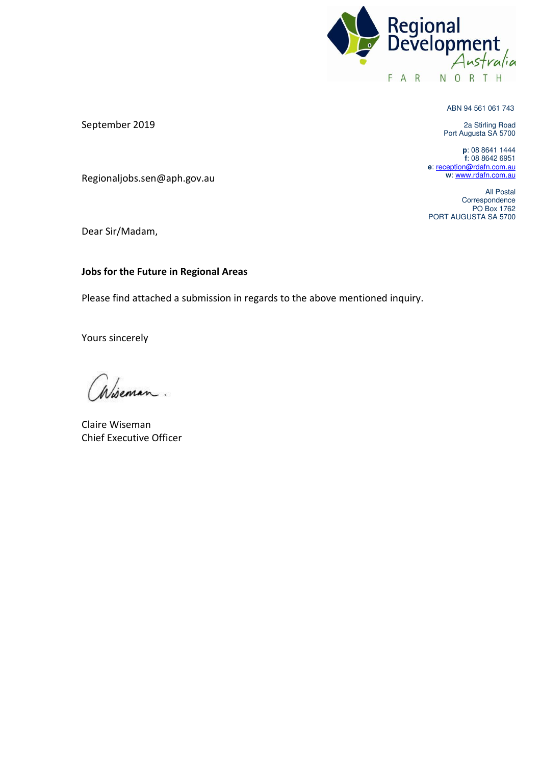

ABN 94 561 061 743

2a Stirling Road Port Augusta SA 5700

**p**: 08 8641 1444 **f**: 08 8642 6951 **e**[: reception@rdafn.com.au](mailto:reception@rdafn.com.au) **w**[: www.rdafn.com.au](http://www.rdafn.com.au/) 

All Postal Correspondence PO Box 1762 PORT AUGUSTA SA 5700

September 2019

Regionaljobs.sen@aph.gov.au

Dear Sir/Madam,

#### **Jobs for the Future in Regional Areas**

Please find attached a submission in regards to the above mentioned inquiry.

Yours sincerely

Claire Wiseman Chief Executive Officer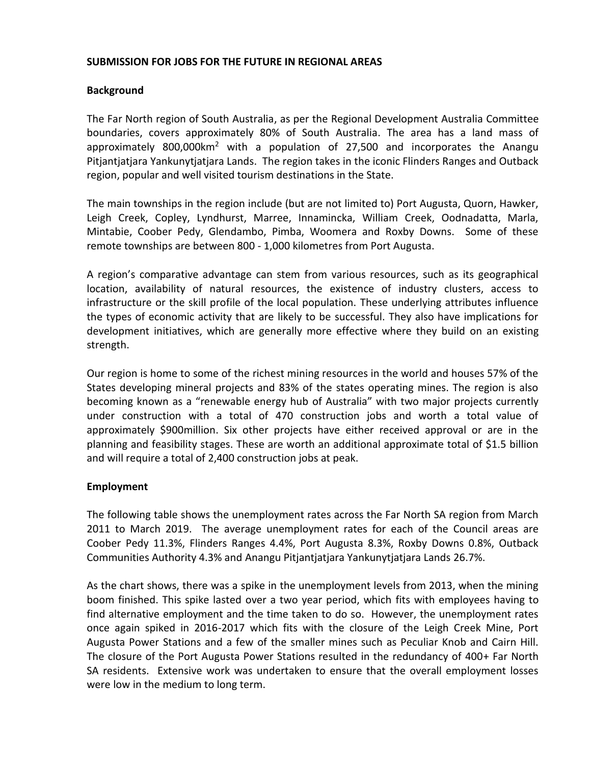#### **SUBMISSION FOR JOBS FOR THE FUTURE IN REGIONAL AREAS**

### **Background**

The Far North region of South Australia, as per the Regional Development Australia Committee boundaries, covers approximately 80% of South Australia. The area has a land mass of approximately 800,000km<sup>2</sup> with a population of 27,500 and incorporates the Anangu Pitjantjatjara Yankunytjatjara Lands. The region takes in the iconic Flinders Ranges and Outback region, popular and well visited tourism destinations in the State.

The main townships in the region include (but are not limited to) Port Augusta, Quorn, Hawker, Leigh Creek, Copley, Lyndhurst, Marree, Innamincka, William Creek, Oodnadatta, Marla, Mintabie, Coober Pedy, Glendambo, Pimba, Woomera and Roxby Downs. Some of these remote townships are between 800 - 1,000 kilometres from Port Augusta.

A region's comparative advantage can stem from various resources, such as its geographical location, availability of natural resources, the existence of industry clusters, access to infrastructure or the skill profile of the local population. These underlying attributes influence the types of economic activity that are likely to be successful. They also have implications for development initiatives, which are generally more effective where they build on an existing strength.

Our region is home to some of the richest mining resources in the world and houses 57% of the States developing mineral projects and 83% of the states operating mines. The region is also becoming known as a "renewable energy hub of Australia" with two major projects currently under construction with a total of 470 construction jobs and worth a total value of approximately \$900million. Six other projects have either received approval or are in the planning and feasibility stages. These are worth an additional approximate total of \$1.5 billion and will require a total of 2,400 construction jobs at peak.

#### **Employment**

The following table shows the unemployment rates across the Far North SA region from March 2011 to March 2019. The average unemployment rates for each of the Council areas are Coober Pedy 11.3%, Flinders Ranges 4.4%, Port Augusta 8.3%, Roxby Downs 0.8%, Outback Communities Authority 4.3% and Anangu Pitjantjatjara Yankunytjatjara Lands 26.7%.

As the chart shows, there was a spike in the unemployment levels from 2013, when the mining boom finished. This spike lasted over a two year period, which fits with employees having to find alternative employment and the time taken to do so. However, the unemployment rates once again spiked in 2016-2017 which fits with the closure of the Leigh Creek Mine, Port Augusta Power Stations and a few of the smaller mines such as Peculiar Knob and Cairn Hill. The closure of the Port Augusta Power Stations resulted in the redundancy of 400+ Far North SA residents. Extensive work was undertaken to ensure that the overall employment losses were low in the medium to long term.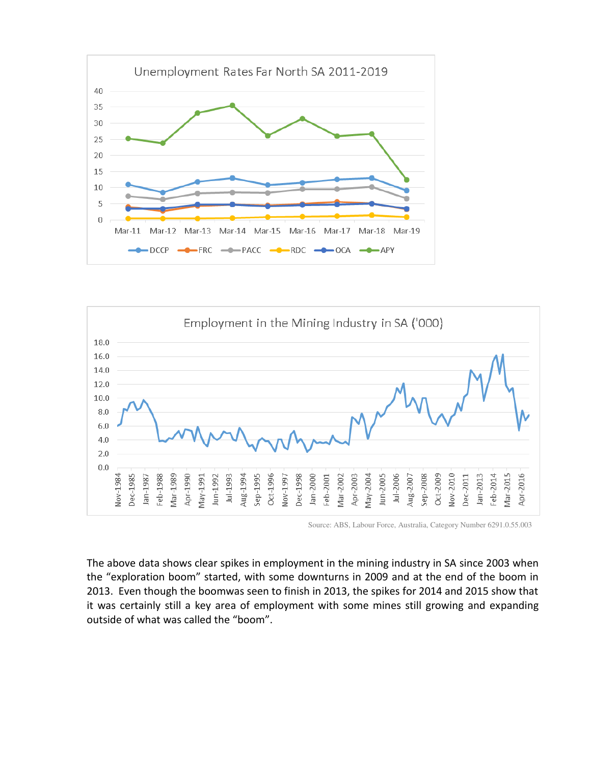



Source: ABS, Labour Force, Australia, Category Number 6291.0.55.003

The above data shows clear spikes in employment in the mining industry in SA since 2003 when the "exploration boom" started, with some downturns in 2009 and at the end of the boom in 2013. Even though the boomwas seen to finish in 2013, the spikes for 2014 and 2015 show that it was certainly still a key area of employment with some mines still growing and expanding outside of what was called the "boom".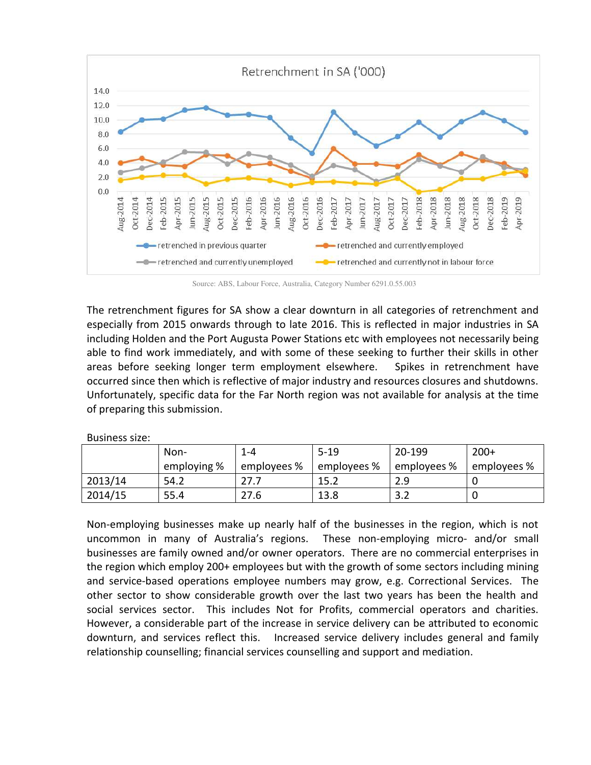

Source: ABS, Labour Force, Australia, Category Number 6291.0.55.003

The retrenchment figures for SA show a clear downturn in all categories of retrenchment and especially from 2015 onwards through to late 2016. This is reflected in major industries in SA including Holden and the Port Augusta Power Stations etc with employees not necessarily being able to find work immediately, and with some of these seeking to further their skills in other areas before seeking longer term employment elsewhere. Spikes in retrenchment have occurred since then which is reflective of major industry and resources closures and shutdowns. Unfortunately, specific data for the Far North region was not available for analysis at the time of preparing this submission.

Business size:

|         | Non-        | 1-4         | $5-19$      | 20-199      | $200+$      |
|---------|-------------|-------------|-------------|-------------|-------------|
|         | employing % | employees % | employees % | employees % | employees % |
| 2013/14 | 54.2        |             | 15.2        | 2.9         |             |
| 2014/15 | 55.4        | 27.6        | 13.8        | ے.د         |             |

Non-employing businesses make up nearly half of the businesses in the region, which is not uncommon in many of Australia's regions. These non-employing micro- and/or small businesses are family owned and/or owner operators. There are no commercial enterprises in the region which employ 200+ employees but with the growth of some sectors including mining and service-based operations employee numbers may grow, e.g. Correctional Services. The other sector to show considerable growth over the last two years has been the health and social services sector. This includes Not for Profits, commercial operators and charities. However, a considerable part of the increase in service delivery can be attributed to economic downturn, and services reflect this. Increased service delivery includes general and family relationship counselling; financial services counselling and support and mediation.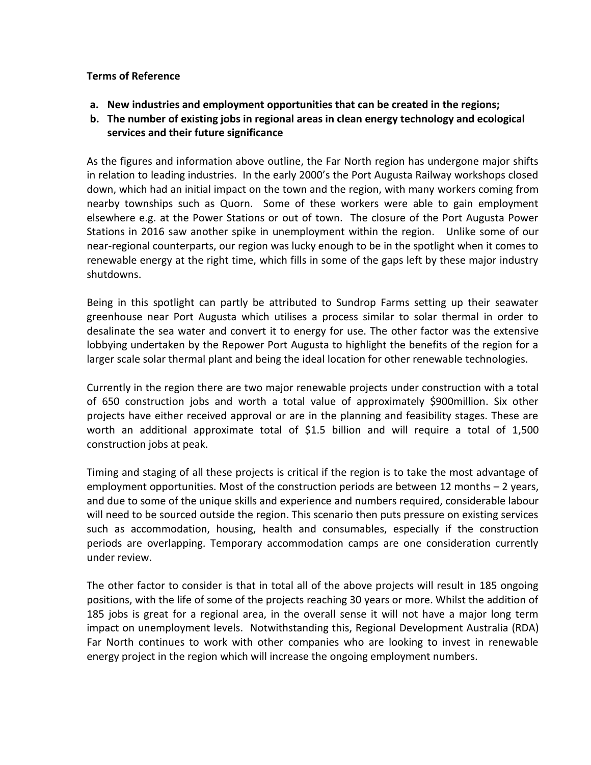### **Terms of Reference**

- **a. New industries and employment opportunities that can be created in the regions;**
- **b. The number of existing jobs in regional areas in clean energy technology and ecological services and their future significance**

As the figures and information above outline, the Far North region has undergone major shifts in relation to leading industries. In the early 2000's the Port Augusta Railway workshops closed down, which had an initial impact on the town and the region, with many workers coming from nearby townships such as Quorn. Some of these workers were able to gain employment elsewhere e.g. at the Power Stations or out of town. The closure of the Port Augusta Power Stations in 2016 saw another spike in unemployment within the region. Unlike some of our near-regional counterparts, our region was lucky enough to be in the spotlight when it comes to renewable energy at the right time, which fills in some of the gaps left by these major industry shutdowns.

Being in this spotlight can partly be attributed to Sundrop Farms setting up their seawater greenhouse near Port Augusta which utilises a process similar to solar thermal in order to desalinate the sea water and convert it to energy for use. The other factor was the extensive lobbying undertaken by the Repower Port Augusta to highlight the benefits of the region for a larger scale solar thermal plant and being the ideal location for other renewable technologies.

Currently in the region there are two major renewable projects under construction with a total of 650 construction jobs and worth a total value of approximately \$900million. Six other projects have either received approval or are in the planning and feasibility stages. These are worth an additional approximate total of \$1.5 billion and will require a total of 1,500 construction jobs at peak.

Timing and staging of all these projects is critical if the region is to take the most advantage of employment opportunities. Most of the construction periods are between 12 months – 2 years, and due to some of the unique skills and experience and numbers required, considerable labour will need to be sourced outside the region. This scenario then puts pressure on existing services such as accommodation, housing, health and consumables, especially if the construction periods are overlapping. Temporary accommodation camps are one consideration currently under review.

The other factor to consider is that in total all of the above projects will result in 185 ongoing positions, with the life of some of the projects reaching 30 years or more. Whilst the addition of 185 jobs is great for a regional area, in the overall sense it will not have a major long term impact on unemployment levels. Notwithstanding this, Regional Development Australia (RDA) Far North continues to work with other companies who are looking to invest in renewable energy project in the region which will increase the ongoing employment numbers.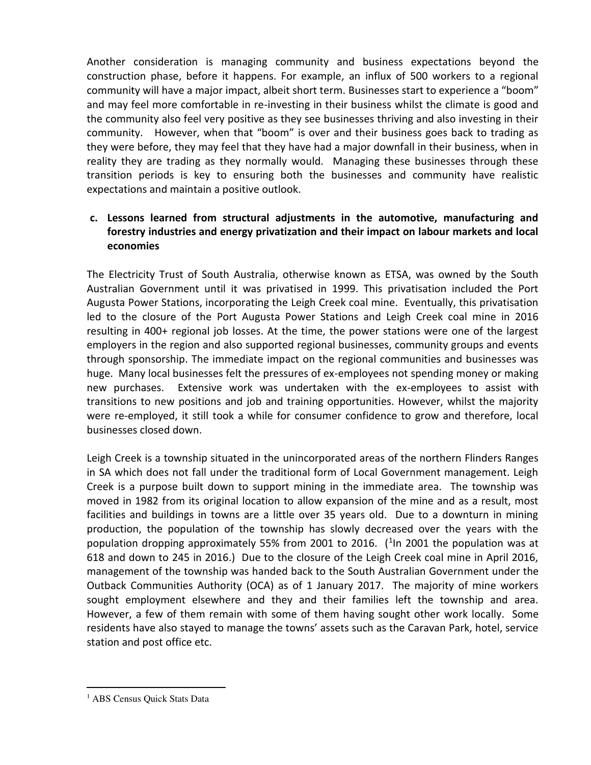Another consideration is managing community and business expectations beyond the construction phase, before it happens. For example, an influx of 500 workers to a regional community will have a major impact, albeit short term. Businesses start to experience a "boom" and may feel more comfortable in re-investing in their business whilst the climate is good and the community also feel very positive as they see businesses thriving and also investing in their community. However, when that "boom" is over and their business goes back to trading as they were before, they may feel that they have had a major downfall in their business, when in reality they are trading as they normally would. Managing these businesses through these transition periods is key to ensuring both the businesses and community have realistic expectations and maintain a positive outlook.

# **c. Lessons learned from structural adjustments in the automotive, manufacturing and forestry industries and energy privatization and their impact on labour markets and local economies**

The Electricity Trust of South Australia, otherwise known as ETSA, was owned by the South Australian Government until it was privatised in 1999. This privatisation included the Port Augusta Power Stations, incorporating the Leigh Creek coal mine. Eventually, this privatisation led to the closure of the Port Augusta Power Stations and Leigh Creek coal mine in 2016 resulting in 400+ regional job losses. At the time, the power stations were one of the largest employers in the region and also supported regional businesses, community groups and events through sponsorship. The immediate impact on the regional communities and businesses was huge. Many local businesses felt the pressures of ex-employees not spending money or making new purchases. Extensive work was undertaken with the ex-employees to assist with transitions to new positions and job and training opportunities. However, whilst the majority were re-employed, it still took a while for consumer confidence to grow and therefore, local businesses closed down.

Leigh Creek is a township situated in the unincorporated areas of the northern Flinders Ranges in SA which does not fall under the traditional form of Local Government management. Leigh Creek is a purpose built down to support mining in the immediate area. The township was moved in 1982 from its original location to allow expansion of the mine and as a result, most facilities and buildings in towns are a little over 35 years old. Due to a downturn in mining production, the population of the township has slowly decreased over the years with the population dropping approximately 55% from 2001 to 2016.  $(^{1}$ In 2001 the population was at 618 and down to 245 in 2016.) Due to the closure of the Leigh Creek coal mine in April 2016, management of the township was handed back to the South Australian Government under the Outback Communities Authority (OCA) as of 1 January 2017. The majority of mine workers sought employment elsewhere and they and their families left the township and area. However, a few of them remain with some of them having sought other work locally. Some residents have also stayed to manage the towns' assets such as the Caravan Park, hotel, service station and post office etc.

 $\overline{a}$ 

<sup>&</sup>lt;sup>1</sup> ABS Census Quick Stats Data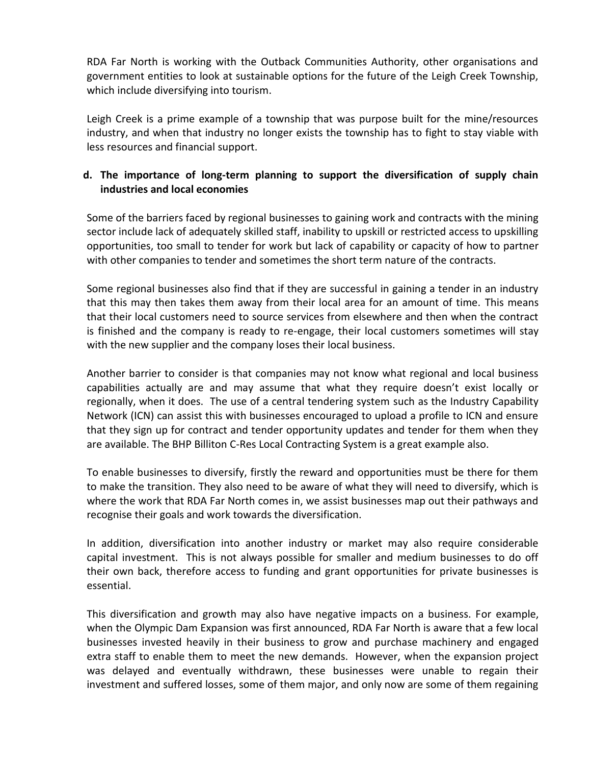RDA Far North is working with the Outback Communities Authority, other organisations and government entities to look at sustainable options for the future of the Leigh Creek Township, which include diversifying into tourism.

Leigh Creek is a prime example of a township that was purpose built for the mine/resources industry, and when that industry no longer exists the township has to fight to stay viable with less resources and financial support.

# **d. The importance of long-term planning to support the diversification of supply chain industries and local economies**

Some of the barriers faced by regional businesses to gaining work and contracts with the mining sector include lack of adequately skilled staff, inability to upskill or restricted access to upskilling opportunities, too small to tender for work but lack of capability or capacity of how to partner with other companies to tender and sometimes the short term nature of the contracts.

Some regional businesses also find that if they are successful in gaining a tender in an industry that this may then takes them away from their local area for an amount of time. This means that their local customers need to source services from elsewhere and then when the contract is finished and the company is ready to re-engage, their local customers sometimes will stay with the new supplier and the company loses their local business.

Another barrier to consider is that companies may not know what regional and local business capabilities actually are and may assume that what they require doesn't exist locally or regionally, when it does. The use of a central tendering system such as the Industry Capability Network (ICN) can assist this with businesses encouraged to upload a profile to ICN and ensure that they sign up for contract and tender opportunity updates and tender for them when they are available. The BHP Billiton C-Res Local Contracting System is a great example also.

To enable businesses to diversify, firstly the reward and opportunities must be there for them to make the transition. They also need to be aware of what they will need to diversify, which is where the work that RDA Far North comes in, we assist businesses map out their pathways and recognise their goals and work towards the diversification.

In addition, diversification into another industry or market may also require considerable capital investment. This is not always possible for smaller and medium businesses to do off their own back, therefore access to funding and grant opportunities for private businesses is essential.

This diversification and growth may also have negative impacts on a business. For example, when the Olympic Dam Expansion was first announced, RDA Far North is aware that a few local businesses invested heavily in their business to grow and purchase machinery and engaged extra staff to enable them to meet the new demands. However, when the expansion project was delayed and eventually withdrawn, these businesses were unable to regain their investment and suffered losses, some of them major, and only now are some of them regaining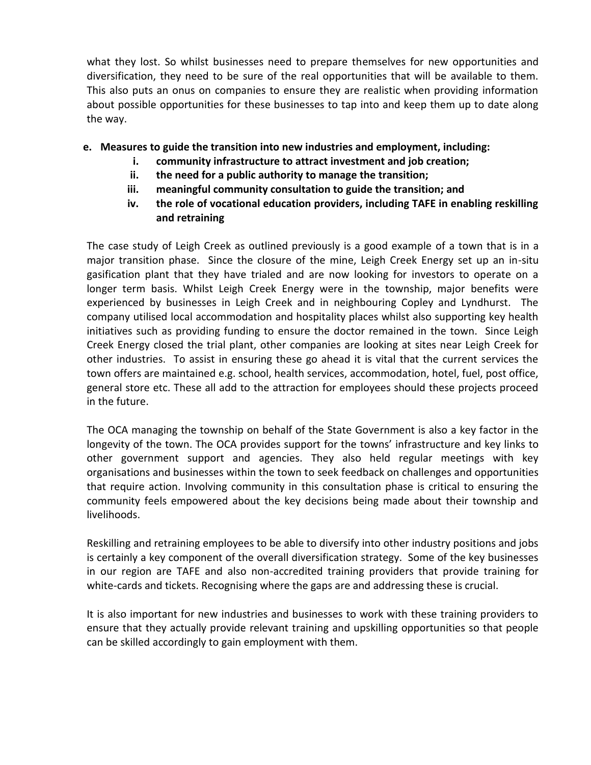what they lost. So whilst businesses need to prepare themselves for new opportunities and diversification, they need to be sure of the real opportunities that will be available to them. This also puts an onus on companies to ensure they are realistic when providing information about possible opportunities for these businesses to tap into and keep them up to date along the way.

## **e. Measures to guide the transition into new industries and employment, including:**

- **i. community infrastructure to attract investment and job creation;**
- **ii. the need for a public authority to manage the transition;**
- **iii. meaningful community consultation to guide the transition; and**
- **iv. the role of vocational education providers, including TAFE in enabling reskilling and retraining**

The case study of Leigh Creek as outlined previously is a good example of a town that is in a major transition phase. Since the closure of the mine, Leigh Creek Energy set up an in-situ gasification plant that they have trialed and are now looking for investors to operate on a longer term basis. Whilst Leigh Creek Energy were in the township, major benefits were experienced by businesses in Leigh Creek and in neighbouring Copley and Lyndhurst. The company utilised local accommodation and hospitality places whilst also supporting key health initiatives such as providing funding to ensure the doctor remained in the town. Since Leigh Creek Energy closed the trial plant, other companies are looking at sites near Leigh Creek for other industries. To assist in ensuring these go ahead it is vital that the current services the town offers are maintained e.g. school, health services, accommodation, hotel, fuel, post office, general store etc. These all add to the attraction for employees should these projects proceed in the future.

The OCA managing the township on behalf of the State Government is also a key factor in the longevity of the town. The OCA provides support for the towns' infrastructure and key links to other government support and agencies. They also held regular meetings with key organisations and businesses within the town to seek feedback on challenges and opportunities that require action. Involving community in this consultation phase is critical to ensuring the community feels empowered about the key decisions being made about their township and livelihoods.

Reskilling and retraining employees to be able to diversify into other industry positions and jobs is certainly a key component of the overall diversification strategy. Some of the key businesses in our region are TAFE and also non-accredited training providers that provide training for white-cards and tickets. Recognising where the gaps are and addressing these is crucial.

It is also important for new industries and businesses to work with these training providers to ensure that they actually provide relevant training and upskilling opportunities so that people can be skilled accordingly to gain employment with them.